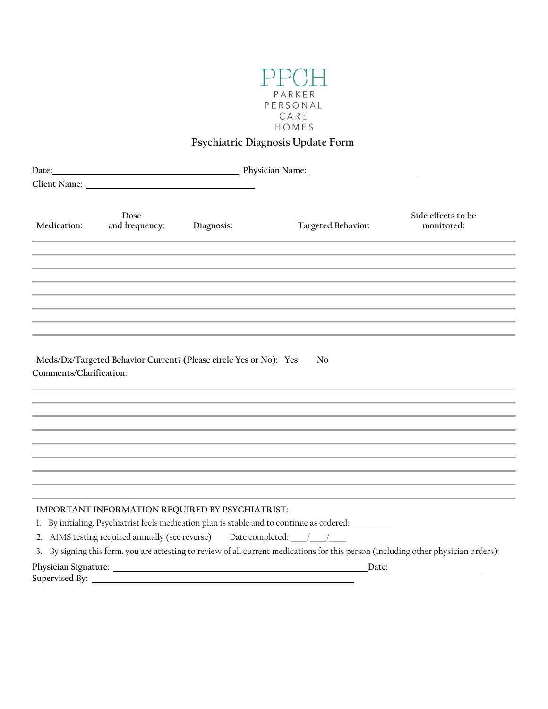

## **Psychiatric Diagnosis Update Form**

| Date:                   |                        |                                                                                                                         |                                                                                                                                                                                                                                   |                                  |
|-------------------------|------------------------|-------------------------------------------------------------------------------------------------------------------------|-----------------------------------------------------------------------------------------------------------------------------------------------------------------------------------------------------------------------------------|----------------------------------|
|                         |                        |                                                                                                                         |                                                                                                                                                                                                                                   |                                  |
| Medication:             | Dose<br>and frequency: | Diagnosis:                                                                                                              | Targeted Behavior:                                                                                                                                                                                                                | Side effects to be<br>monitored: |
|                         |                        |                                                                                                                         |                                                                                                                                                                                                                                   |                                  |
|                         |                        |                                                                                                                         |                                                                                                                                                                                                                                   |                                  |
|                         |                        |                                                                                                                         |                                                                                                                                                                                                                                   |                                  |
|                         |                        |                                                                                                                         |                                                                                                                                                                                                                                   |                                  |
|                         |                        |                                                                                                                         |                                                                                                                                                                                                                                   |                                  |
|                         |                        |                                                                                                                         |                                                                                                                                                                                                                                   |                                  |
| Comments/Clarification: |                        | Meds/Dx/Targeted Behavior Current? (Please circle Yes or No): Yes                                                       | No                                                                                                                                                                                                                                |                                  |
|                         |                        |                                                                                                                         |                                                                                                                                                                                                                                   |                                  |
|                         |                        |                                                                                                                         |                                                                                                                                                                                                                                   |                                  |
|                         |                        |                                                                                                                         |                                                                                                                                                                                                                                   |                                  |
|                         |                        |                                                                                                                         |                                                                                                                                                                                                                                   |                                  |
|                         |                        | IMPORTANT INFORMATION REQUIRED BY PSYCHIATRIST:<br>2. AIMS testing required annually (see reverse) Date completed: //// | 1. By initialing, Psychiatrist feels medication plan is stable and to continue as ordered:<br>3. By signing this form, you are attesting to review of all current medications for this person (including other physician orders): |                                  |
|                         |                        |                                                                                                                         | Date:                                                                                                                                                                                                                             |                                  |
|                         |                        |                                                                                                                         |                                                                                                                                                                                                                                   |                                  |